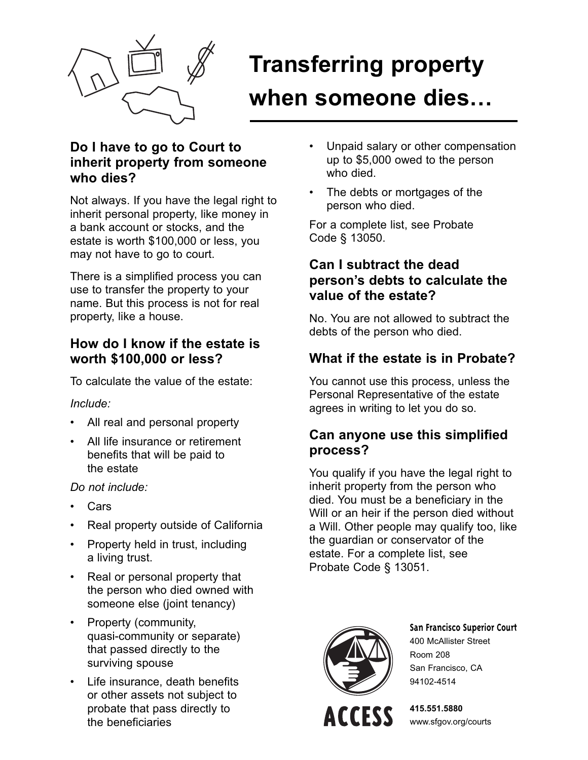

# **Transferring property when someone dies…**

#### **Do I have to go to Court to inherit property from someone who dies?**

Not always. If you have the legal right to inherit personal property, like money in a bank account or stocks, and the estate is worth \$100,000 or less, you may not have to go to court.

There is a simplified process you can use to transfer the property to your name. But this process is not for real property, like a house.

#### **How do I know if the estate is worth \$100,000 or less?**

To calculate the value of the estate:

#### *Include:*

- All real and personal property
- All life insurance or retirement benefits that will be paid to the estate

#### *Do not include:*

- Cars
- Real property outside of California
- Property held in trust, including a living trust.
- Real or personal property that the person who died owned with someone else (joint tenancy)
- Property (community, quasi-community or separate) that passed directly to the surviving spouse
- Life insurance, death benefits or other assets not subject to probate that pass directly to the beneficiaries
- Unpaid salary or other compensation up to \$5,000 owed to the person who died.
- The debts or mortgages of the person who died.

For a complete list, see Probate Code § 13050.

#### **Can I subtract the dead person's debts to calculate the value of the estate?**

No. You are not allowed to subtract the debts of the person who died.

## **What if the estate is in Probate?**

You cannot use this process, unless the Personal Representative of the estate agrees in writing to let you do so.

#### **Can anyone use this simplified process?**

You qualify if you have the legal right to inherit property from the person who died. You must be a beneficiary in the Will or an heir if the person died without a Will. Other people may qualify too, like the guardian or conservator of the estate. For a complete list, see Probate Code § 13051.



**San Francisco Superior Court** 400 McAllister Street Room 208 San Francisco, CA 94102-4514



**415.551.5880** www.sfgov.org/courts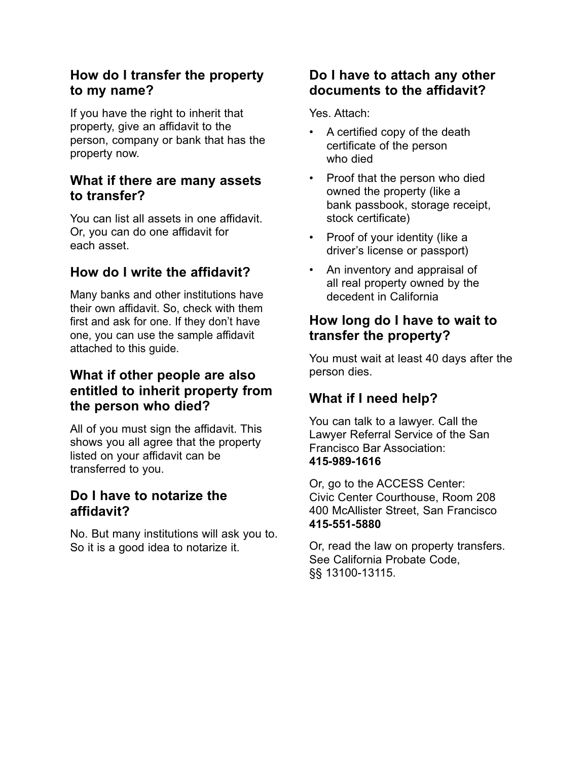#### **How do I transfer the property to my name?**

If you have the right to inherit that property, give an affidavit to the person, company or bank that has the property now.

#### **What if there are many assets to transfer?**

You can list all assets in one affidavit. Or, you can do one affidavit for each asset.

## **How do I write the affidavit?**

Many banks and other institutions have their own affidavit. So, check with them first and ask for one. If they don't have one, you can use the sample affidavit attached to this guide.

#### **What if other people are also entitled to inherit property from the person who died?**

All of you must sign the affidavit. This shows you all agree that the property listed on your affidavit can be transferred to you.

#### **Do I have to notarize the affidavit?**

No. But many institutions will ask you to. So it is a good idea to notarize it.

#### **Do I have to attach any other documents to the affidavit?**

Yes. Attach:

- A certified copy of the death certificate of the person who died
- Proof that the person who died owned the property (like a bank passbook, storage receipt, stock certificate)
- Proof of your identity (like a driver's license or passport)
- An inventory and appraisal of all real property owned by the decedent in California

#### **How long do I have to wait to transfer the property?**

You must wait at least 40 days after the person dies.

## **What if I need help?**

You can talk to a lawyer. Call the Lawyer Referral Service of the San Francisco Bar Association: **415-989-1616** 

Or, go to the ACCESS Center: Civic Center Courthouse, Room 208 400 McAllister Street, San Francisco **415-551-5880**

Or, read the law on property transfers. See California Probate Code, §§ 13100-13115.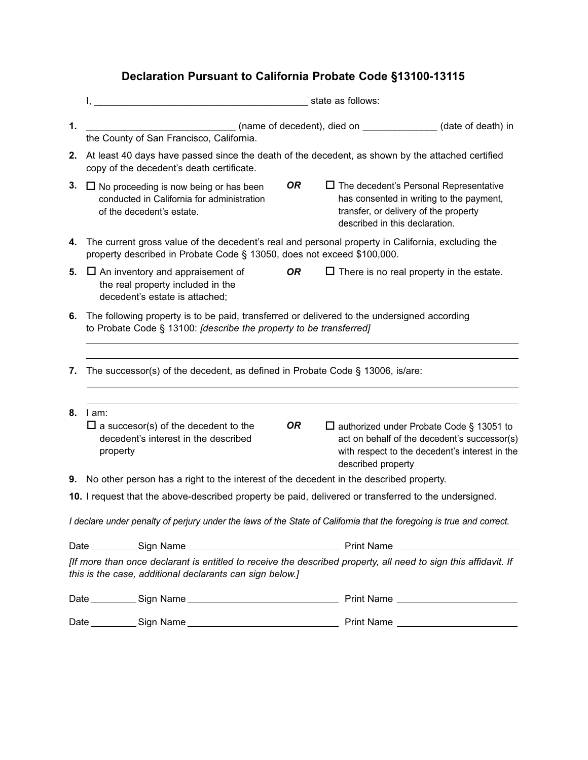## **Declaration Pursuant to California Probate Code §13100-13115**

|                                                                                                                                                                             | state as follows:                                                                                                                                                           |                                                                                                                                                                      |                                                                                                                                                   |  |
|-----------------------------------------------------------------------------------------------------------------------------------------------------------------------------|-----------------------------------------------------------------------------------------------------------------------------------------------------------------------------|----------------------------------------------------------------------------------------------------------------------------------------------------------------------|---------------------------------------------------------------------------------------------------------------------------------------------------|--|
| 1.                                                                                                                                                                          | the County of San Francisco, California.                                                                                                                                    | (name of decedent), died on ______________(date of death) in                                                                                                         |                                                                                                                                                   |  |
| 2.                                                                                                                                                                          | At least 40 days have passed since the death of the decedent, as shown by the attached certified<br>copy of the decedent's death certificate.                               |                                                                                                                                                                      |                                                                                                                                                   |  |
| 3.                                                                                                                                                                          | <b>OR</b><br>$\Box$ No proceeding is now being or has been<br>conducted in California for administration<br>of the decedent's estate.                                       | $\Box$ The decedent's Personal Representative<br>has consented in writing to the payment,<br>transfer, or delivery of the property<br>described in this declaration. |                                                                                                                                                   |  |
| 4.                                                                                                                                                                          | The current gross value of the decedent's real and personal property in California, excluding the<br>property described in Probate Code § 13050, does not exceed \$100,000. |                                                                                                                                                                      |                                                                                                                                                   |  |
| 5.                                                                                                                                                                          | <b>OR</b><br>$\Box$ An inventory and appraisement of<br>the real property included in the<br>decedent's estate is attached;                                                 | $\Box$ There is no real property in the estate.                                                                                                                      |                                                                                                                                                   |  |
| 6.                                                                                                                                                                          | The following property is to be paid, transferred or delivered to the undersigned according<br>to Probate Code § 13100: [describe the property to be transferred]           |                                                                                                                                                                      |                                                                                                                                                   |  |
| 7.                                                                                                                                                                          | The successor(s) of the decedent, as defined in Probate Code § 13006, is/are:                                                                                               |                                                                                                                                                                      |                                                                                                                                                   |  |
| 8.                                                                                                                                                                          | l am:<br>OR.<br>$\Box$ a succesor(s) of the decedent to the<br>decedent's interest in the described<br>property                                                             | described property                                                                                                                                                   | $\Box$ authorized under Probate Code § 13051 to<br>act on behalf of the decedent's successor(s)<br>with respect to the decedent's interest in the |  |
|                                                                                                                                                                             | 9. No other person has a right to the interest of the decedent in the described property.                                                                                   |                                                                                                                                                                      |                                                                                                                                                   |  |
| 10. I request that the above-described property be paid, delivered or transferred to the undersigned.                                                                       |                                                                                                                                                                             |                                                                                                                                                                      |                                                                                                                                                   |  |
|                                                                                                                                                                             | I declare under penalty of perjury under the laws of the State of California that the foregoing is true and correct.                                                        |                                                                                                                                                                      |                                                                                                                                                   |  |
|                                                                                                                                                                             |                                                                                                                                                                             |                                                                                                                                                                      |                                                                                                                                                   |  |
| [If more than once declarant is entitled to receive the described property, all need to sign this affidavit. If<br>this is the case, additional declarants can sign below.] |                                                                                                                                                                             |                                                                                                                                                                      |                                                                                                                                                   |  |
|                                                                                                                                                                             |                                                                                                                                                                             |                                                                                                                                                                      |                                                                                                                                                   |  |
|                                                                                                                                                                             |                                                                                                                                                                             |                                                                                                                                                                      |                                                                                                                                                   |  |